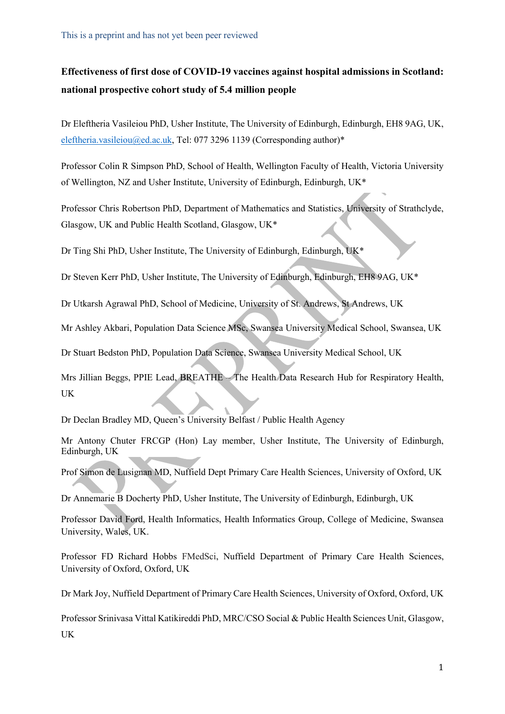# **Effectiveness of first dose of COVID-19 vaccines against hospital admissions in Scotland: national prospective cohort study of 5.4 million people**

Dr Eleftheria Vasileiou PhD, Usher Institute, The University of Edinburgh, Edinburgh, EH8 9AG, UK, [eleftheria.vasileiou@ed.ac.uk,](mailto:eleftheria.vasileiou@ed.ac.uk) Tel: 077 3296 1139 (Corresponding author)\*

Professor Colin R Simpson PhD, School of Health, Wellington Faculty of Health, Victoria University of Wellington, NZ and Usher Institute, University of Edinburgh, Edinburgh, UK\*

Professor Chris Robertson PhD, Department of Mathematics and Statistics, University of Strathclyde, Glasgow, UK and Public Health Scotland, Glasgow, UK\*

Dr Ting Shi PhD, Usher Institute, The University of Edinburgh, Edinburgh, UK\*

Dr Steven Kerr PhD, Usher Institute, The University of Edinburgh, Edinburgh, EH8 9AG, UK\*

Dr Utkarsh Agrawal PhD, School of Medicine, University of St. Andrews, St Andrews, UK

Mr Ashley Akbari, Population Data Science MSc, Swansea University Medical School, Swansea, UK

Dr Stuart Bedston PhD, Population Data Science, Swansea University Medical School, UK

Mrs Jillian Beggs, PPIE Lead, BREATHE – The Health Data Research Hub for Respiratory Health, UK

Dr Declan Bradley MD, Queen's University Belfast / Public Health Agency

Mr Antony Chuter FRCGP (Hon) Lay member, Usher Institute, The University of Edinburgh, Edinburgh, UK

Prof Simon de Lusignan MD, Nuffield Dept Primary Care Health Sciences, University of Oxford, UK

Dr Annemarie B Docherty PhD, Usher Institute, The University of Edinburgh, Edinburgh, UK

Professor David Ford, Health Informatics, Health Informatics Group, College of Medicine, Swansea University, Wales, UK.

Professor FD Richard Hobbs FMedSci, Nuffield Department of Primary Care Health Sciences, University of Oxford, Oxford, UK

Dr Mark Joy, Nuffield Department of Primary Care Health Sciences, University of Oxford, Oxford, UK

Professor Srinivasa Vittal Katikireddi PhD, MRC/CSO Social & Public Health Sciences Unit, Glasgow, UK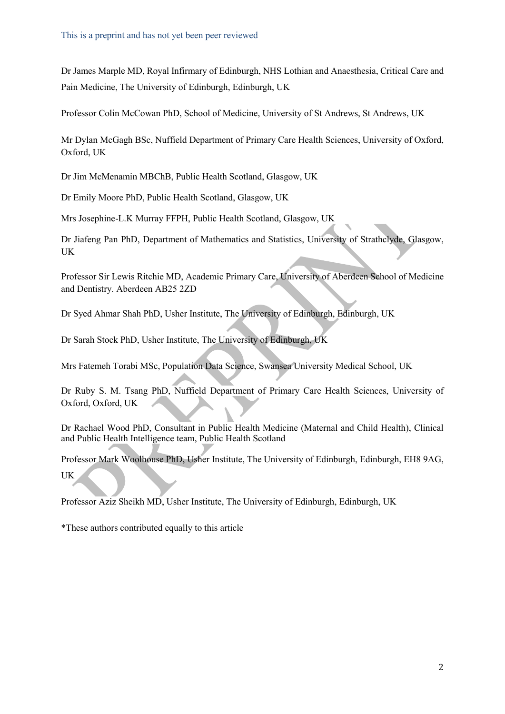Dr James Marple MD, Royal Infirmary of Edinburgh, NHS Lothian and Anaesthesia, Critical Care and Pain Medicine, The University of Edinburgh, Edinburgh, UK

Professor Colin McCowan PhD, School of Medicine, University of St Andrews, St Andrews, UK

Mr Dylan McGagh BSc, Nuffield Department of Primary Care Health Sciences, University of Oxford, Oxford, UK

Dr Jim McMenamin MBChB, Public Health Scotland, Glasgow, UK

Dr Emily Moore PhD, Public Health Scotland, Glasgow, UK

Mrs Josephine-L.K Murray FFPH, Public Health Scotland, Glasgow, UK

Dr Jiafeng Pan PhD, Department of Mathematics and Statistics, University of Strathclyde, Glasgow, UK

Professor Sir Lewis Ritchie MD, Academic Primary Care, University of Aberdeen School of Medicine and Dentistry. Aberdeen AB25 2ZD

Dr Syed Ahmar Shah PhD, Usher Institute, The University of Edinburgh, Edinburgh, UK

Dr Sarah Stock PhD, Usher Institute, The University of Edinburgh, UK

Mrs Fatemeh Torabi MSc, Population Data Science, Swansea University Medical School, UK

Dr Ruby S. M. Tsang PhD, Nuffield Department of Primary Care Health Sciences, University of Oxford, Oxford, UK

Dr Rachael Wood PhD, Consultant in Public Health Medicine (Maternal and Child Health), Clinical and Public Health Intelligence team, Public Health Scotland

Professor Mark Woolhouse PhD, Usher Institute, The University of Edinburgh, Edinburgh, EH8 9AG, UK

Professor Aziz Sheikh MD, Usher Institute, The University of Edinburgh, Edinburgh, UK

\*These authors contributed equally to this article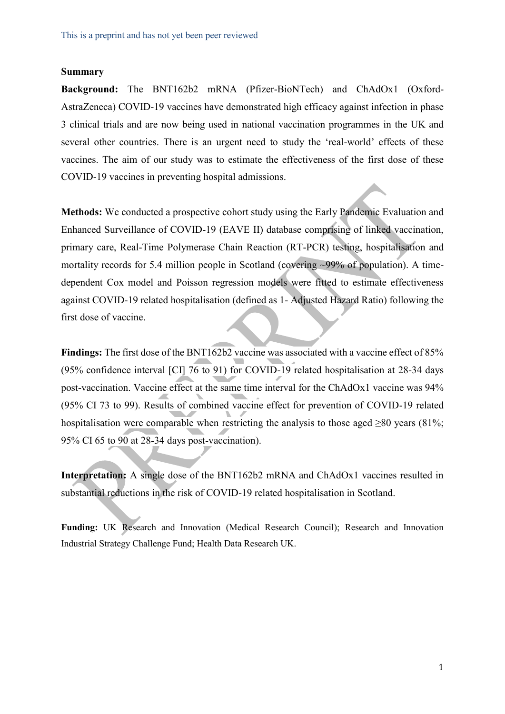## **Summary**

**Background:** The BNT162b2 mRNA (Pfizer-BioNTech) and ChAdOx1 (Oxford-AstraZeneca) COVID-19 vaccines have demonstrated high efficacy against infection in phase 3 clinical trials and are now being used in national vaccination programmes in the UK and several other countries. There is an urgent need to study the 'real-world' effects of these vaccines. The aim of our study was to estimate the effectiveness of the first dose of these COVID-19 vaccines in preventing hospital admissions.

**Methods:** We conducted a prospective cohort study using the Early Pandemic Evaluation and Enhanced Surveillance of COVID-19 (EAVE II) database comprising of linked vaccination, primary care, Real-Time Polymerase Chain Reaction (RT-PCR) testing, hospitalisation and mortality records for 5.4 million people in Scotland (covering ~99% of population). A timedependent Cox model and Poisson regression models were fitted to estimate effectiveness against COVID-19 related hospitalisation (defined as 1- Adjusted Hazard Ratio) following the first dose of vaccine.

Findings: The first dose of the BNT162b2 vaccine was associated with a vaccine effect of 85% (95% confidence interval [CI] 76 to 91) for COVID-19 related hospitalisation at 28-34 days post-vaccination. Vaccine effect at the same time interval for the ChAdOx1 vaccine was 94% (95% CI 73 to 99). Results of combined vaccine effect for prevention of COVID-19 related hospitalisation were comparable when restricting the analysis to those aged >80 years (81%; 95% CI 65 to 90 at 28-34 days post-vaccination).

**Interpretation:** A single dose of the BNT162b2 mRNA and ChAdOx1 vaccines resulted in substantial reductions in the risk of COVID-19 related hospitalisation in Scotland.

**Funding:** UK Research and Innovation (Medical Research Council); Research and Innovation Industrial Strategy Challenge Fund; Health Data Research UK.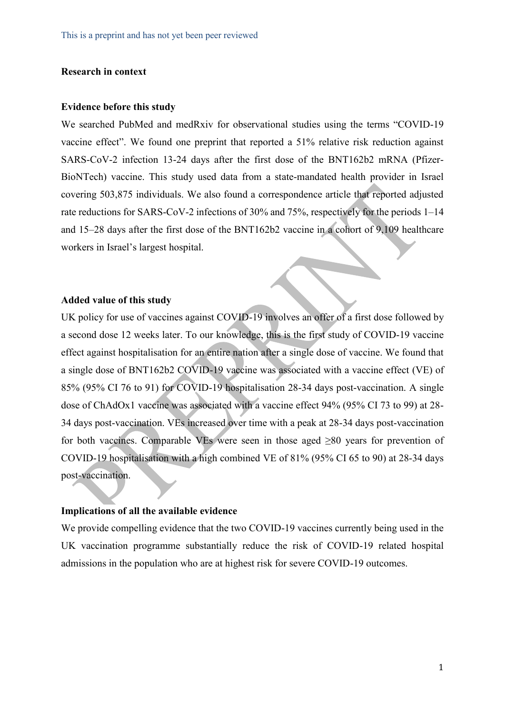## **Research in context**

## **Evidence before this study**

We searched PubMed and medRxiv for observational studies using the terms "COVID-19 vaccine effect". We found one preprint that reported a 51% relative risk reduction against SARS-CoV-2 infection 13-24 days after the first dose of the BNT162b2 mRNA (Pfizer-BioNTech) vaccine. This study used data from a state-mandated health provider in Israel covering 503,875 individuals. We also found a correspondence article that reported adjusted rate reductions for SARS-CoV-2 infections of 30% and 75%, respectively for the periods 1–14 and 15–28 days after the first dose of the BNT162b2 vaccine in a cohort of 9,109 healthcare workers in Israel's largest hospital.

### **Added value of this study**

UK policy for use of vaccines against COVID-19 involves an offer of a first dose followed by a second dose 12 weeks later. To our knowledge, this is the first study of COVID-19 vaccine effect against hospitalisation for an entire nation after a single dose of vaccine. We found that a single dose of BNT162b2 COVID-19 vaccine was associated with a vaccine effect (VE) of 85% (95% CI 76 to 91) for COVID-19 hospitalisation 28-34 days post-vaccination. A single dose of ChAdOx1 vaccine was associated with a vaccine effect 94% (95% CI 73 to 99) at 28- 34 days post-vaccination. VEs increased over time with a peak at 28-34 days post-vaccination for both vaccines. Comparable VEs were seen in those aged  $\geq 80$  years for prevention of COVID-19 hospitalisation with a high combined VE of 81% (95% CI 65 to 90) at 28-34 days post-vaccination.

### **Implications of all the available evidence**

We provide compelling evidence that the two COVID-19 vaccines currently being used in the UK vaccination programme substantially reduce the risk of COVID-19 related hospital admissions in the population who are at highest risk for severe COVID-19 outcomes.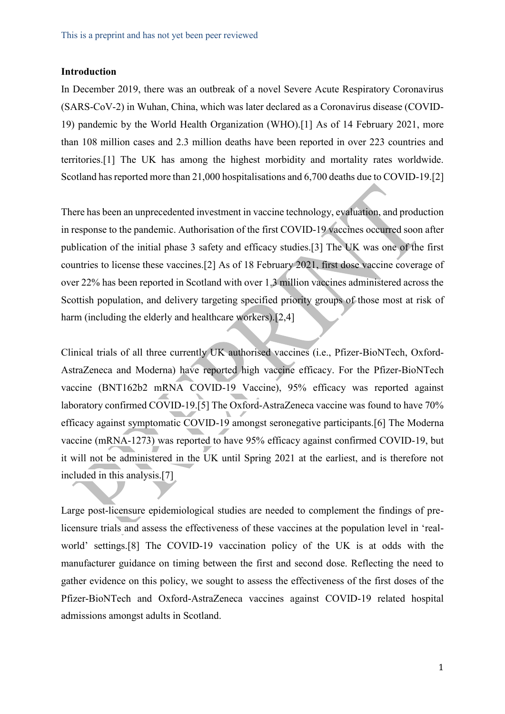## **Introduction**

In December 2019, there was an outbreak of a novel Severe Acute Respiratory Coronavirus (SARS-CoV-2) in Wuhan, China, which was later declared as a Coronavirus disease (COVID-19) pandemic by the World Health Organization (WHO).[1] As of 14 February 2021, more than 108 million cases and 2.3 million deaths have been reported in over 223 countries and territories.[1] The UK has among the highest morbidity and mortality rates worldwide. Scotland has reported more than 21,000 hospitalisations and 6,700 deaths due to COVID-19.[2]

There has been an unprecedented investment in vaccine technology, evaluation, and production in response to the pandemic. Authorisation of the first COVID-19 vaccines occurred soon after publication of the initial phase 3 safety and efficacy studies.[3] The UK was one of the first countries to license these vaccines.[2] As of 18 February 2021, first dose vaccine coverage of over 22% has been reported in Scotland with over 1.3 million vaccines administered across the Scottish population, and delivery targeting specified priority groups of those most at risk of harm (including the elderly and healthcare workers).<sup>[2,4]</sup>

Clinical trials of all three currently UK authorised vaccines (i.e., Pfizer-BioNTech, Oxford-AstraZeneca and Moderna) have reported high vaccine efficacy. For the Pfizer-BioNTech vaccine (BNT162b2 mRNA COVID-19 Vaccine), 95% efficacy was reported against laboratory confirmed COVID-19.[5] The Oxford-AstraZeneca vaccine was found to have 70% efficacy against symptomatic COVID-19 amongst seronegative participants.[6] The Moderna vaccine (mRNA-1273) was reported to have 95% efficacy against confirmed COVID-19, but it will not be administered in the UK until Spring 2021 at the earliest, and is therefore not included in this analysis.[7]

Large post-licensure epidemiological studies are needed to complement the findings of prelicensure trials and assess the effectiveness of these vaccines at the population level in 'realworld' settings.[8] The COVID-19 vaccination policy of the UK is at odds with the manufacturer guidance on timing between the first and second dose. Reflecting the need to gather evidence on this policy, we sought to assess the effectiveness of the first doses of the Pfizer-BioNTech and Oxford-AstraZeneca vaccines against COVID-19 related hospital admissions amongst adults in Scotland.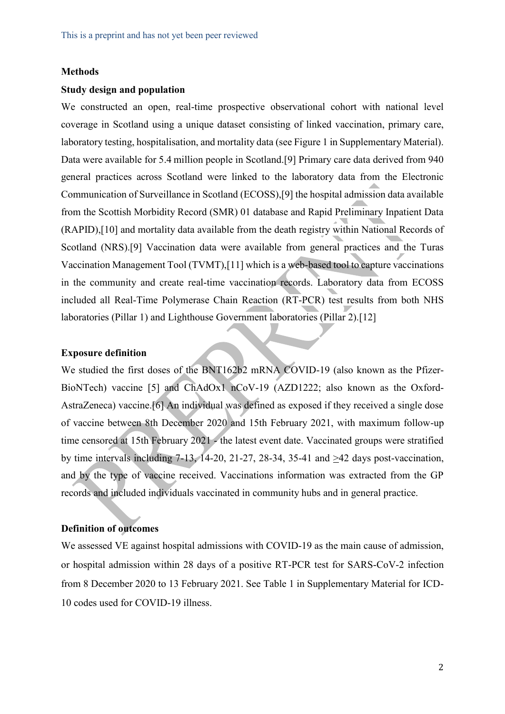## **Methods**

## **Study design and population**

We constructed an open, real-time prospective observational cohort with national level coverage in Scotland using a unique dataset consisting of linked vaccination, primary care, laboratory testing, hospitalisation, and mortality data (see Figure 1 in Supplementary Material). Data were available for 5.4 million people in Scotland.[9] Primary care data derived from 940 general practices across Scotland were linked to the laboratory data from the Electronic Communication of Surveillance in Scotland (ECOSS),[9] the hospital admission data available from the Scottish Morbidity Record (SMR) 01 database and Rapid Preliminary Inpatient Data (RAPID),[10] and mortality data available from the death registry within National Records of Scotland (NRS).[9] Vaccination data were available from general practices and the Turas Vaccination Management Tool (TVMT),[11] which is a web-based tool to capture vaccinations in the community and create real-time vaccination records. Laboratory data from ECOSS included all Real-Time Polymerase Chain Reaction (RT-PCR) test results from both NHS laboratories (Pillar 1) and Lighthouse Government laboratories (Pillar 2).[12]

#### **Exposure definition**

We studied the first doses of the BNT162b2 mRNA COVID-19 (also known as the Pfizer-BioNTech) vaccine [5] and ChAdOx1 nCoV-19 (AZD1222; also known as the Oxford-AstraZeneca) vaccine.[6] An individual was defined as exposed if they received a single dose of vaccine between 8th December 2020 and 15th February 2021, with maximum follow-up time censored at 15th February 2021 - the latest event date. Vaccinated groups were stratified by time intervals including 7-13, 14-20, 21-27, 28-34, 35-41 and  $\geq$ 42 days post-vaccination, and by the type of vaccine received. Vaccinations information was extracted from the GP records and included individuals vaccinated in community hubs and in general practice.

## **Definition of outcomes**

We assessed VE against hospital admissions with COVID-19 as the main cause of admission, or hospital admission within 28 days of a positive RT-PCR test for SARS-CoV-2 infection from 8 December 2020 to 13 February 2021. See Table 1 in Supplementary Material for ICD-10 codes used for COVID-19 illness.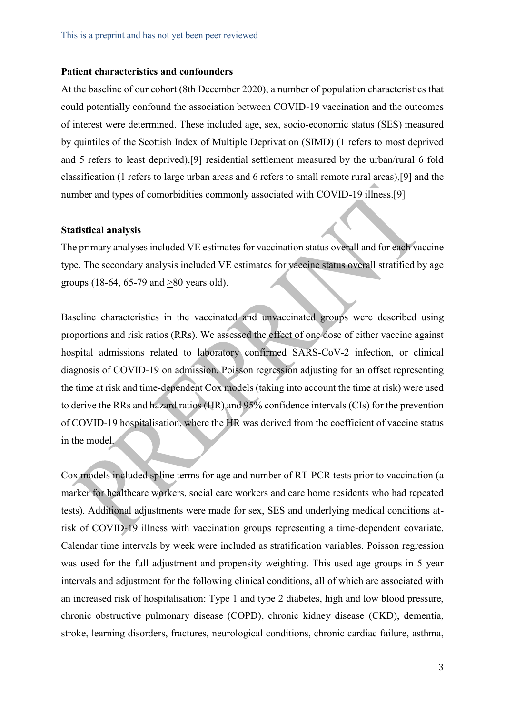### **Patient characteristics and confounders**

At the baseline of our cohort (8th December 2020), a number of population characteristics that could potentially confound the association between COVID-19 vaccination and the outcomes of interest were determined. These included age, sex, socio-economic status (SES) measured by quintiles of the Scottish Index of Multiple Deprivation (SIMD) (1 refers to most deprived and 5 refers to least deprived),[9] residential settlement measured by the urban/rural 6 fold classification (1 refers to large urban areas and 6 refers to small remote rural areas),[9] and the number and types of comorbidities commonly associated with COVID-19 illness.[9]

#### **Statistical analysis**

The primary analyses included VE estimates for vaccination status overall and for each vaccine type. The secondary analysis included VE estimates for vaccine status overall stratified by age groups (18-64, 65-79 and >80 years old).

Baseline characteristics in the vaccinated and unvaccinated groups were described using proportions and risk ratios (RRs). We assessed the effect of one dose of either vaccine against hospital admissions related to laboratory confirmed SARS-CoV-2 infection, or clinical diagnosis of COVID-19 on admission. Poisson regression adjusting for an offset representing the time at risk and time-dependent Cox models (taking into account the time at risk) were used to derive the RRs and hazard ratios (HR) and 95% confidence intervals (CIs) for the prevention of COVID-19 hospitalisation, where the HR was derived from the coefficient of vaccine status in the model.

Cox models included spline terms for age and number of RT-PCR tests prior to vaccination (a marker for healthcare workers, social care workers and care home residents who had repeated tests). Additional adjustments were made for sex, SES and underlying medical conditions atrisk of COVID-19 illness with vaccination groups representing a time-dependent covariate. Calendar time intervals by week were included as stratification variables. Poisson regression was used for the full adjustment and propensity weighting. This used age groups in 5 year intervals and adjustment for the following clinical conditions, all of which are associated with an increased risk of hospitalisation: Type 1 and type 2 diabetes, high and low blood pressure, chronic obstructive pulmonary disease (COPD), chronic kidney disease (CKD), dementia, stroke, learning disorders, fractures, neurological conditions, chronic cardiac failure, asthma,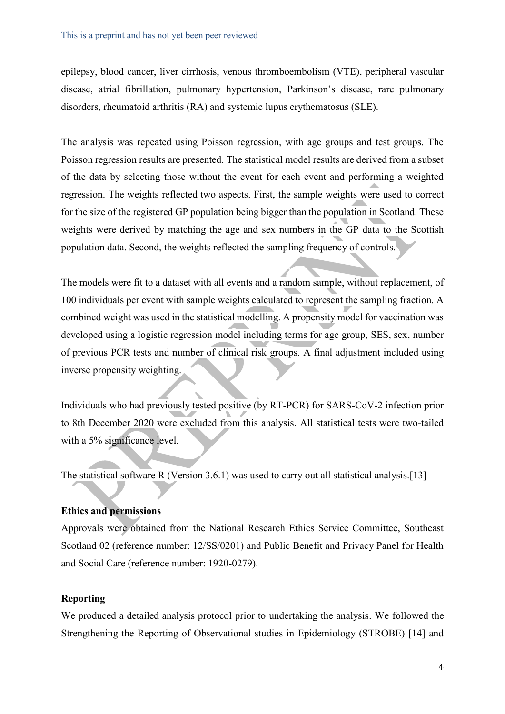epilepsy, blood cancer, liver cirrhosis, venous thromboembolism (VTE), peripheral vascular disease, atrial fibrillation, pulmonary hypertension, Parkinson's disease, rare pulmonary disorders, rheumatoid arthritis (RA) and systemic lupus erythematosus (SLE).

The analysis was repeated using Poisson regression, with age groups and test groups. The Poisson regression results are presented. The statistical model results are derived from a subset of the data by selecting those without the event for each event and performing a weighted regression. The weights reflected two aspects. First, the sample weights were used to correct for the size of the registered GP population being bigger than the population in Scotland. These weights were derived by matching the age and sex numbers in the GP data to the Scottish population data. Second, the weights reflected the sampling frequency of controls.

The models were fit to a dataset with all events and a random sample, without replacement, of 100 individuals per event with sample weights calculated to represent the sampling fraction. A combined weight was used in the statistical modelling. A propensity model for vaccination was developed using a logistic regression model including terms for age group, SES, sex, number of previous PCR tests and number of clinical risk groups. A final adjustment included using inverse propensity weighting.

Individuals who had previously tested positive (by RT-PCR) for SARS-CoV-2 infection prior to 8th December 2020 were excluded from this analysis. All statistical tests were two-tailed with a 5% significance level.

The statistical software R (Version 3.6.1) was used to carry out all statistical analysis.[13]

## **Ethics and permissions**

Approvals were obtained from the National Research Ethics Service Committee, Southeast Scotland 02 (reference number: 12/SS/0201) and Public Benefit and Privacy Panel for Health and Social Care (reference number: 1920-0279).

## **Reporting**

We produced a detailed analysis protocol prior to undertaking the analysis. We followed the Strengthening the Reporting of Observational studies in Epidemiology (STROBE) [14] and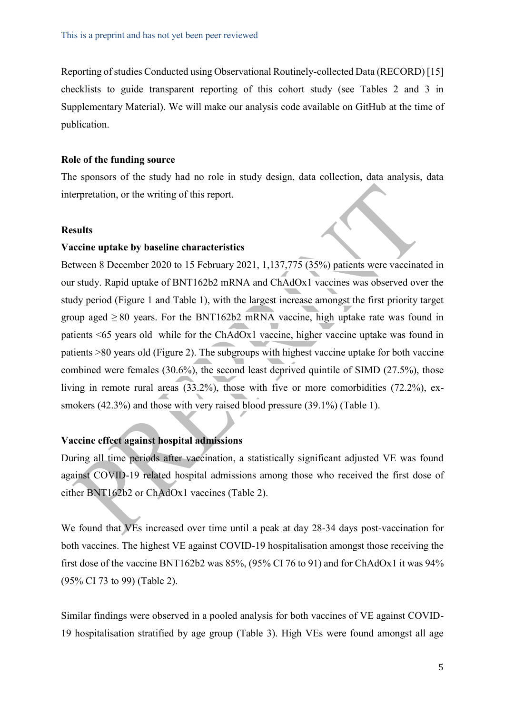Reporting of studies Conducted using Observational Routinely-collected Data (RECORD) [15] checklists to guide transparent reporting of this cohort study (see Tables 2 and 3 in Supplementary Material). We will make our analysis code available on GitHub at the time of publication.

### **Role of the funding source**

The sponsors of the study had no role in study design, data collection, data analysis, data interpretation, or the writing of this report.

#### **Results**

### **Vaccine uptake by baseline characteristics**

Between 8 December 2020 to 15 February 2021, 1,137,775 (35%) patients were vaccinated in our study. Rapid uptake of BNT162b2 mRNA and ChAdOx1 vaccines was observed over the study period (Figure 1 and Table 1), with the largest increase amongst the first priority target group aged  $\geq 80$  years. For the BNT162b2 mRNA vaccine, high uptake rate was found in patients <65 years old while for the ChAdOx1 vaccine, higher vaccine uptake was found in patients >80 years old (Figure 2). The subgroups with highest vaccine uptake for both vaccine combined were females (30.6%), the second least deprived quintile of SIMD (27.5%), those living in remote rural areas (33.2%), those with five or more comorbidities (72.2%), exsmokers (42.3%) and those with very raised blood pressure (39.1%) (Table 1).

## **Vaccine effect against hospital admissions**

During all time periods after vaccination, a statistically significant adjusted VE was found against COVID-19 related hospital admissions among those who received the first dose of either BNT162b2 or ChAdOx1 vaccines (Table 2).

We found that VEs increased over time until a peak at day 28-34 days post-vaccination for both vaccines. The highest VE against COVID-19 hospitalisation amongst those receiving the first dose of the vaccine BNT162b2 was 85%, (95% CI 76 to 91) and for ChAdOx1 it was 94% (95% CI 73 to 99) (Table 2).

Similar findings were observed in a pooled analysis for both vaccines of VE against COVID-19 hospitalisation stratified by age group (Table 3). High VEs were found amongst all age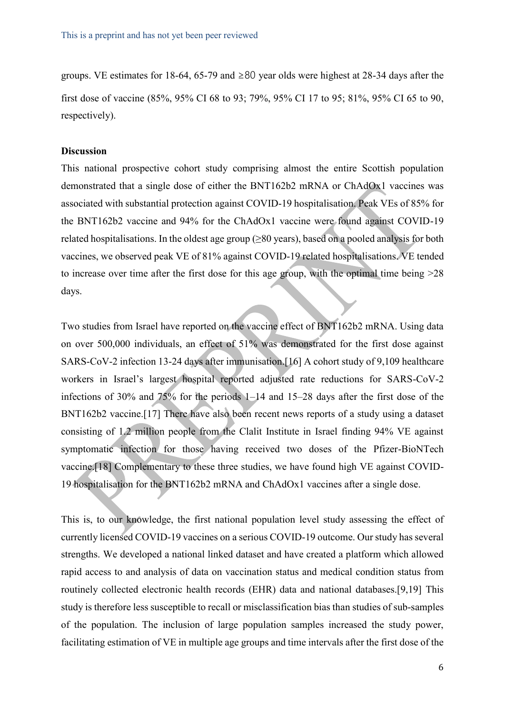groups. VE estimates for 18-64, 65-79 and ≥80 year olds were highest at 28-34 days after the first dose of vaccine (85%, 95% CI 68 to 93; 79%, 95% CI 17 to 95; 81%, 95% CI 65 to 90, respectively).

### **Discussion**

This national prospective cohort study comprising almost the entire Scottish population demonstrated that a single dose of either the BNT162b2 mRNA or ChAdOx1 vaccines was associated with substantial protection against COVID-19 hospitalisation. Peak VEs of 85% for the BNT162b2 vaccine and 94% for the ChAdOx1 vaccine were found against COVID-19 related hospitalisations. In the oldest age group ( $\geq 80$  years), based on a pooled analysis for both vaccines, we observed peak VE of 81% against COVID-19 related hospitalisations. VE tended to increase over time after the first dose for this age group, with the optimal time being >28 days.

Two studies from Israel have reported on the vaccine effect of BNT162b2 mRNA. Using data on over 500,000 individuals, an effect of 51% was demonstrated for the first dose against SARS-CoV-2 infection 13-24 days after immunisation.[16] A cohort study of 9,109 healthcare workers in Israel's largest hospital reported adjusted rate reductions for SARS-CoV-2 infections of 30% and 75% for the periods 1–14 and 15–28 days after the first dose of the BNT162b2 vaccine.[17] There have also been recent news reports of a study using a dataset consisting of 1.2 million people from the Clalit Institute in Israel finding 94% VE against symptomatic infection for those having received two doses of the Pfizer-BioNTech vaccine.[18] Complementary to these three studies, we have found high VE against COVID-19 hospitalisation for the BNT162b2 mRNA and ChAdOx1 vaccines after a single dose.

This is, to our knowledge, the first national population level study assessing the effect of currently licensed COVID-19 vaccines on a serious COVID-19 outcome. Our study has several strengths. We developed a national linked dataset and have created a platform which allowed rapid access to and analysis of data on vaccination status and medical condition status from routinely collected electronic health records (EHR) data and national databases.[9,19] This study is therefore less susceptible to recall or misclassification bias than studies of sub-samples of the population. The inclusion of large population samples increased the study power, facilitating estimation of VE in multiple age groups and time intervals after the first dose of the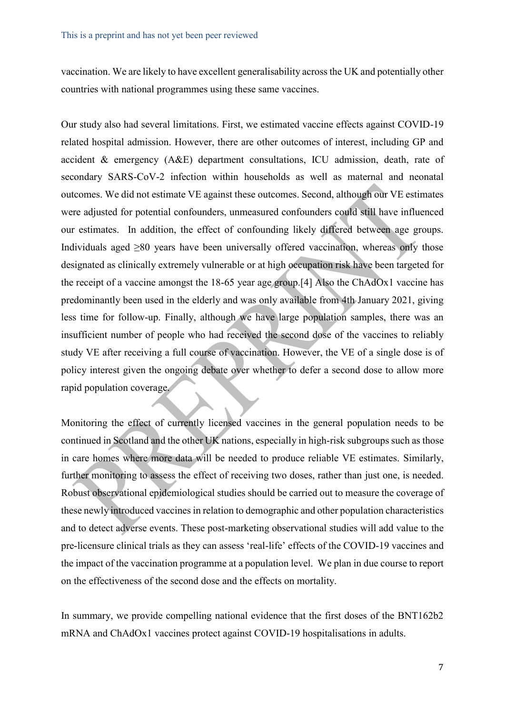vaccination. We are likely to have excellent generalisability across the UK and potentially other countries with national programmes using these same vaccines.

Our study also had several limitations. First, we estimated vaccine effects against COVID-19 related hospital admission. However, there are other outcomes of interest, including GP and accident & emergency (A&E) department consultations, ICU admission, death, rate of secondary SARS-CoV-2 infection within households as well as maternal and neonatal outcomes. We did not estimate VE against these outcomes. Second, although our VE estimates were adjusted for potential confounders, unmeasured confounders could still have influenced our estimates. In addition, the effect of confounding likely differed between age groups. Individuals aged >80 years have been universally offered vaccination, whereas only those designated as clinically extremely vulnerable or at high occupation risk have been targeted for the receipt of a vaccine amongst the 18-65 year age group.[4] Also the ChAdOx1 vaccine has predominantly been used in the elderly and was only available from 4th January 2021, giving less time for follow-up. Finally, although we have large population samples, there was an insufficient number of people who had received the second dose of the vaccines to reliably study VE after receiving a full course of vaccination. However, the VE of a single dose is of policy interest given the ongoing debate over whether to defer a second dose to allow more rapid population coverage.

Monitoring the effect of currently licensed vaccines in the general population needs to be continued in Scotland and the other UK nations, especially in high-risk subgroups such as those in care homes where more data will be needed to produce reliable VE estimates. Similarly, further monitoring to assess the effect of receiving two doses, rather than just one, is needed. Robust observational epidemiological studies should be carried out to measure the coverage of these newly introduced vaccines in relation to demographic and other population characteristics and to detect adverse events. These post-marketing observational studies will add value to the pre-licensure clinical trials as they can assess 'real-life' effects of the COVID-19 vaccines and the impact of the vaccination programme at a population level. We plan in due course to report on the effectiveness of the second dose and the effects on mortality.

In summary, we provide compelling national evidence that the first doses of the BNT162b2 mRNA and ChAdOx1 vaccines protect against COVID-19 hospitalisations in adults.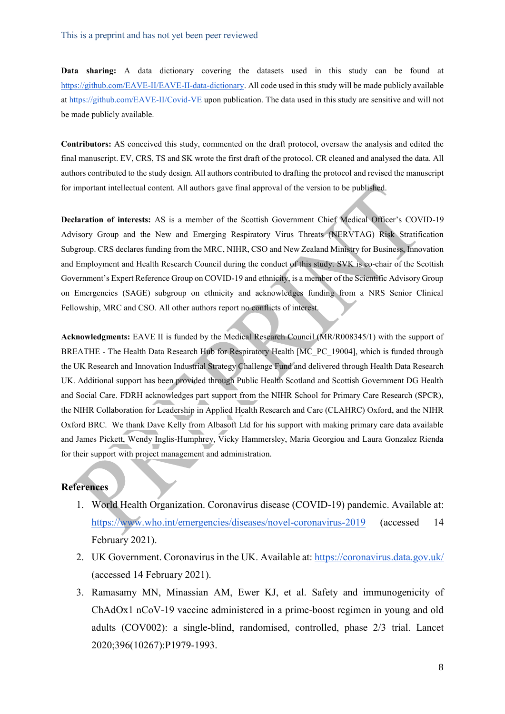**Data sharing:** A data dictionary covering the datasets used in this study can be found at [https://github.com/EAVE-II/EAVE-II-data-dictionary.](https://github.com/EAVE-II/EAVE-II-data-dictionary) All code used in this study will be made publicly available at<https://github.com/EAVE-II/Covid-VE> upon publication. The data used in this study are sensitive and will not be made publicly available.

**Contributors:** AS conceived this study, commented on the draft protocol, oversaw the analysis and edited the final manuscript. EV, CRS, TS and SK wrote the first draft of the protocol. CR cleaned and analysed the data. All authors contributed to the study design. All authors contributed to drafting the protocol and revised the manuscript for important intellectual content. All authors gave final approval of the version to be published.

**Declaration of interests:** AS is a member of the Scottish Government Chief Medical Officer's COVID-19 Advisory Group and the New and Emerging Respiratory Virus Threats (NERVTAG) Risk Stratification Subgroup. CRS declares funding from the MRC, NIHR, CSO and New Zealand Ministry for Business, Innovation and Employment and Health Research Council during the conduct of this study. SVK is co-chair of the Scottish Government's Expert Reference Group on COVID-19 and ethnicity, is a member of the Scientific Advisory Group on Emergencies (SAGE) subgroup on ethnicity and acknowledges funding from a NRS Senior Clinical Fellowship, MRC and CSO. All other authors report no conflicts of interest.

**Acknowledgments:** EAVE II is funded by the Medical Research Council (MR/R008345/1) with the support of BREATHE - The Health Data Research Hub for Respiratory Health [MC\_PC\_19004], which is funded through the UK Research and Innovation Industrial Strategy Challenge Fund and delivered through Health Data Research UK. Additional support has been provided through Public Health Scotland and Scottish Government DG Health and Social Care. FDRH acknowledges part support from the NIHR School for Primary Care Research (SPCR), the NIHR Collaboration for Leadership in Applied Health Research and Care (CLAHRC) Oxford, and the NIHR Oxford BRC. We thank Dave Kelly from Albasoft Ltd for his support with making primary care data available and James Pickett, Wendy Inglis-Humphrey, Vicky Hammersley, Maria Georgiou and Laura Gonzalez Rienda for their support with project management and administration.

#### **References**

- 1. World Health Organization. Coronavirus disease (COVID-19) pandemic. Available at: <https://www.who.int/emergencies/diseases/novel-coronavirus-2019> (accessed 14 February 2021).
- 2. UK Government. Coronavirus in the UK. Available at:<https://coronavirus.data.gov.uk/> (accessed 14 February 2021).
- 3. Ramasamy MN, Minassian AM, Ewer KJ, et al. Safety and immunogenicity of ChAdOx1 nCoV-19 vaccine administered in a prime-boost regimen in young and old adults (COV002): a single-blind, randomised, controlled, phase 2/3 trial. Lancet 2020;396(10267):P1979-1993.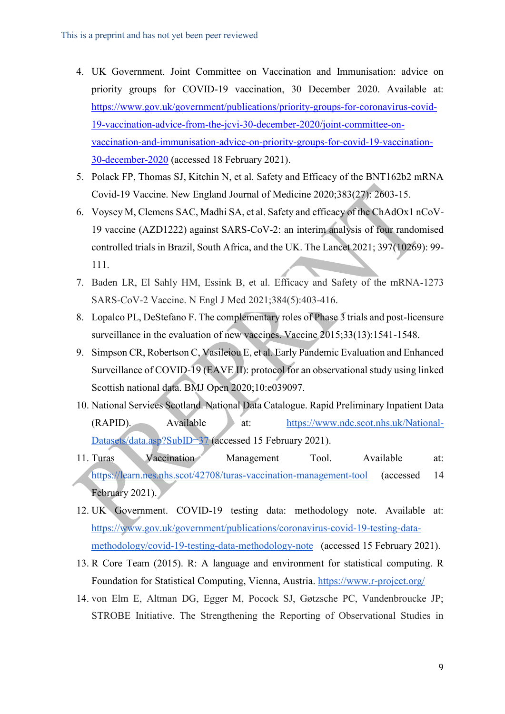- 4. UK Government. Joint Committee on Vaccination and Immunisation: advice on priority groups for COVID-19 vaccination, 30 December 2020. Available at: [https://www.gov.uk/government/publications/priority-groups-for-coronavirus-covid-](https://www.gov.uk/government/publications/priority-groups-for-coronavirus-covid-19-vaccination-advice-from-the-jcvi-30-december-2020/joint-committee-on-vaccination-and-immunisation-advice-on-priority-groups-for-covid-19-vaccination-30-december-2020)[19-vaccination-advice-from-the-jcvi-30-december-2020/joint-committee-on](https://www.gov.uk/government/publications/priority-groups-for-coronavirus-covid-19-vaccination-advice-from-the-jcvi-30-december-2020/joint-committee-on-vaccination-and-immunisation-advice-on-priority-groups-for-covid-19-vaccination-30-december-2020)[vaccination-and-immunisation-advice-on-priority-groups-for-covid-19-vaccination-](https://www.gov.uk/government/publications/priority-groups-for-coronavirus-covid-19-vaccination-advice-from-the-jcvi-30-december-2020/joint-committee-on-vaccination-and-immunisation-advice-on-priority-groups-for-covid-19-vaccination-30-december-2020)[30-december-2020](https://www.gov.uk/government/publications/priority-groups-for-coronavirus-covid-19-vaccination-advice-from-the-jcvi-30-december-2020/joint-committee-on-vaccination-and-immunisation-advice-on-priority-groups-for-covid-19-vaccination-30-december-2020) (accessed 18 February 2021).
- 5. Polack FP, Thomas SJ, Kitchin N, et al. Safety and Efficacy of the BNT162b2 mRNA Covid-19 Vaccine. New England Journal of Medicine 2020;383(27): 2603-15.
- 6. Voysey M, Clemens SAC, Madhi SA, et al. Safety and efficacy of the ChAdOx1 nCoV-19 vaccine (AZD1222) against SARS-CoV-2: an interim analysis of four randomised controlled trials in Brazil, South Africa, and the UK. The Lancet 2021; 397(10269): 99- 111.
- 7. Baden LR, El Sahly HM, Essink B, et al. Efficacy and Safety of the mRNA-1273 SARS-CoV-2 Vaccine. N Engl J Med 2021;384(5):403-416.
- 8. Lopalco PL, DeStefano F. The complementary roles of Phase 3 trials and post-licensure surveillance in the evaluation of new vaccines. Vaccine 2015;33(13):1541-1548.
- 9. Simpson CR, Robertson C, Vasileiou E, et al. Early Pandemic Evaluation and Enhanced Surveillance of COVID-19 (EAVE II): protocol for an observational study using linked Scottish national data. BMJ Open 2020;10:e039097.
- 10. National Services Scotland. National Data Catalogue. Rapid Preliminary Inpatient Data (RAPID). Available at: [https://www.ndc.scot.nhs.uk/National-](https://www.ndc.scot.nhs.uk/National-Datasets/data.asp?SubID=37)[Datasets/data.asp?SubID=37](https://www.ndc.scot.nhs.uk/National-Datasets/data.asp?SubID=37) (accessed 15 February 2021).
- 11. Turas Vaccination Management Tool. Available at: <https://learn.nes.nhs.scot/42708/turas-vaccination-management-tool> (accessed 14 February 2021).
- 12. UK Government. COVID-19 testing data: methodology note. Available at: [https://www.gov.uk/government/publications/coronavirus-covid-19-testing-data](https://www.gov.uk/government/publications/coronavirus-covid-19-testing-data-methodology/covid-19-testing-data-methodology-note)[methodology/covid-19-testing-data-methodology-note](https://www.gov.uk/government/publications/coronavirus-covid-19-testing-data-methodology/covid-19-testing-data-methodology-note) (accessed 15 February 2021).
- 13. R Core Team (2015). R: A language and environment for statistical computing. R Foundation for Statistical Computing, Vienna, Austria[.](https://www.r-project.org/) <https://www.r-project.org/>
- 14. von Elm E, Altman DG, Egger M, Pocock SJ, Gøtzsche PC, Vandenbroucke JP; STROBE Initiative. The Strengthening the Reporting of Observational Studies in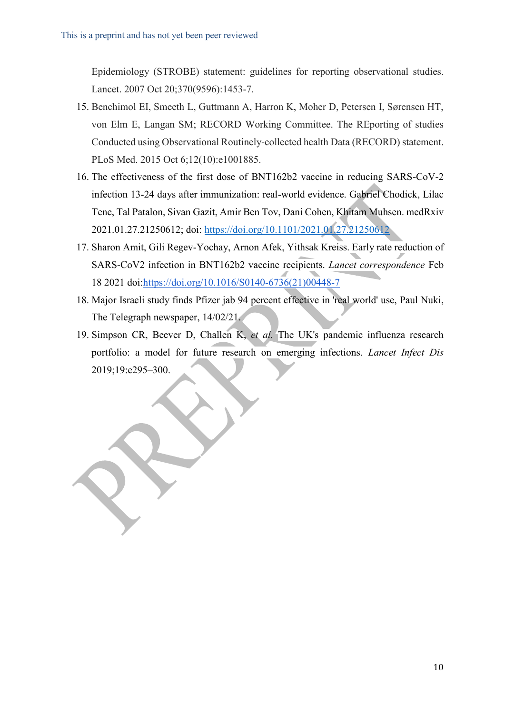Epidemiology (STROBE) statement: guidelines for reporting observational studies. Lancet. 2007 Oct 20;370(9596):1453-7.

- 15. Benchimol EI, Smeeth L, Guttmann A, Harron K, Moher D, Petersen I, Sørensen HT, von Elm E, Langan SM; RECORD Working Committee. The REporting of studies Conducted using Observational Routinely-collected health Data (RECORD) statement. PLoS Med. 2015 Oct 6;12(10):e1001885.
- 16. The effectiveness of the first dose of BNT162b2 vaccine in reducing SARS-CoV-2 infection 13-24 days after immunization: real-world evidence. Gabriel Chodick, Lilac Tene, Tal Patalon, Sivan Gazit, Amir Ben Tov, Dani Cohen, Khitam Muhsen. medRxiv 2021.01.27.21250612; doi[:](https://doi.org/10.1101/2021.01.27.21250612) <https://doi.org/10.1101/2021.01.27.21250612>
- 17. Sharon Amit, Gili Regev-Yochay, Arnon Afek, Yithsak Kreiss. Early rate reduction of SARS-CoV2 infection in BNT162b2 vaccine recipients. *Lancet correspondence* Feb 18 2021 doi[:https://doi.org/10.1016/S0140-6736\(21\)00448-7](https://doi.org/10.1016/S0140-6736(21)00448-7)
- 18. Major Israeli study finds Pfizer jab 94 percent effective in 'real world' use, Paul Nuki, The Telegraph newspaper, 14/02/21.
- 19. Simpson CR, Beever D, Challen K, *et al.* The UK's pandemic influenza research portfolio: a model for future research on emerging infections. *Lancet Infect Dis* 2019;19:e295–300.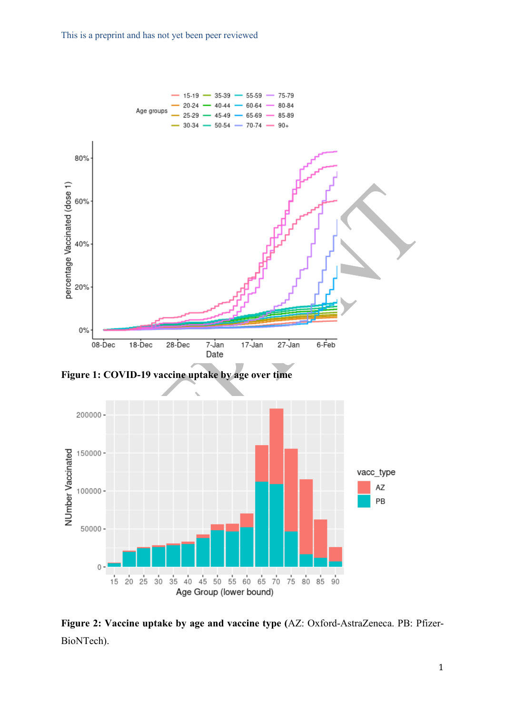



**Figure 2: Vaccine uptake by age and vaccine type (**AZ: Oxford-AstraZeneca. PB: Pfizer-BioNTech).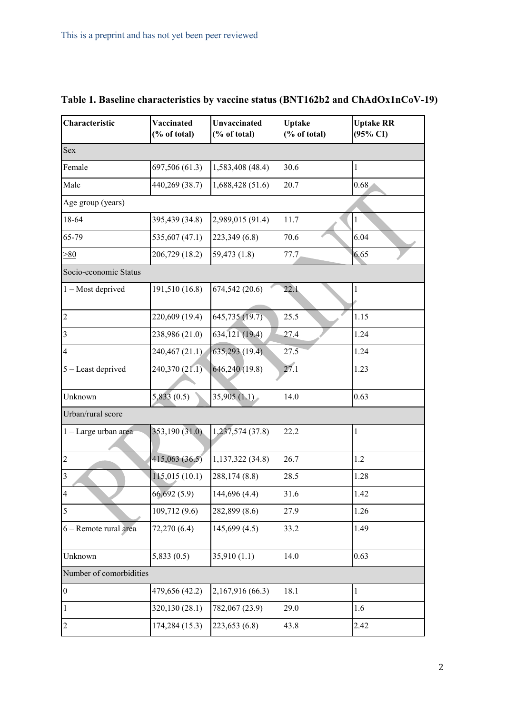| Characteristic          | Vaccinated<br>(% of total) | Unvaccinated<br>(% of total) | <b>Uptake</b><br>(% of total) | <b>Uptake RR</b><br>$(95\% \text{ CI})$ |
|-------------------------|----------------------------|------------------------------|-------------------------------|-----------------------------------------|
| Sex                     |                            |                              |                               |                                         |
| Female                  | 697,506 (61.3)             | 1,583,408 (48.4)             | 30.6                          | 1                                       |
| Male                    | 440,269 (38.7)             | 1,688,428(51.6)              | 20.7                          | 0.68                                    |
| Age group (years)       |                            |                              |                               |                                         |
| 18-64                   | 395,439 (34.8)             | 2,989,015 (91.4)             | 11.7                          | $\mathbf{1}$                            |
| 65-79                   | 535,607 (47.1)             | 223,349 (6.8)                | 70.6                          | 6.04                                    |
| >80                     | 206,729 (18.2)             | 59,473 (1.8)                 | 77.7                          | 6.65                                    |
| Socio-economic Status   |                            |                              |                               |                                         |
| $1 - Most$ deprived     | 191,510 (16.8)             | 674,542 (20.6)               | 22.1                          | 1                                       |
| $\overline{2}$          | 220,609 (19.4)             | 645,735 (19.7)               | 25.5                          | 1.15                                    |
| $\overline{\mathbf{3}}$ | 238,986 (21.0)             | 634,121 (19.4)               | 27.4                          | 1.24                                    |
| $\overline{4}$          | 240,467 (21.1)             | 635,293(19.4)                | 27.5                          | 1.24                                    |
| 5 - Least deprived      | 240,370 (21.1)             | 646,240 (19.8)               | 27.1                          | 1.23                                    |
| Unknown                 | 5,833(0.5)                 | 35,905(1.1)                  | 14.0                          | 0.63                                    |
| Urban/rural score       |                            |                              |                               |                                         |
| 1 - Large urban area    | 353,190(31.0)              | 1,237,574 (37.8)             | 22.2                          | 1                                       |
| $\sqrt{2}$              | 415,063(36.5)              | 1,137,322 (34.8)             | 26.7                          | 1.2                                     |
| $\overline{\mathbf{3}}$ | 115,015(10.1)              | 288,174 (8.8)                | 28.5                          | 1.28                                    |
| $\overline{4}$          | 66,692(5.9)                | 144,696 (4.4)                | 31.6                          | 1.42                                    |
| 5                       | 109,712 (9.6)              | 282,899 (8.6)                | 27.9                          | 1.26                                    |
| 6 - Remote rural area   | 72,270 (6.4)               | 145,699(4.5)                 | 33.2                          | 1.49                                    |
| Unknown                 | 5,833(0.5)                 | 35,910(1.1)                  | 14.0                          | 0.63                                    |
| Number of comorbidities |                            |                              |                               |                                         |
| $\boldsymbol{0}$        | 479,656 (42.2)             | 2,167,916 (66.3)             | 18.1                          | $\mathbf{1}$                            |
| $\mathbf{1}$            | 320,130 (28.1)             | 782,067 (23.9)               | 29.0                          | 1.6                                     |
| $\boldsymbol{2}$        | 174,284 (15.3)             | 223,653 (6.8)                | 43.8                          | 2.42                                    |

# **Table 1. Baseline characteristics by vaccine status (BNT162b2 and ChAdOx1nCoV-19)**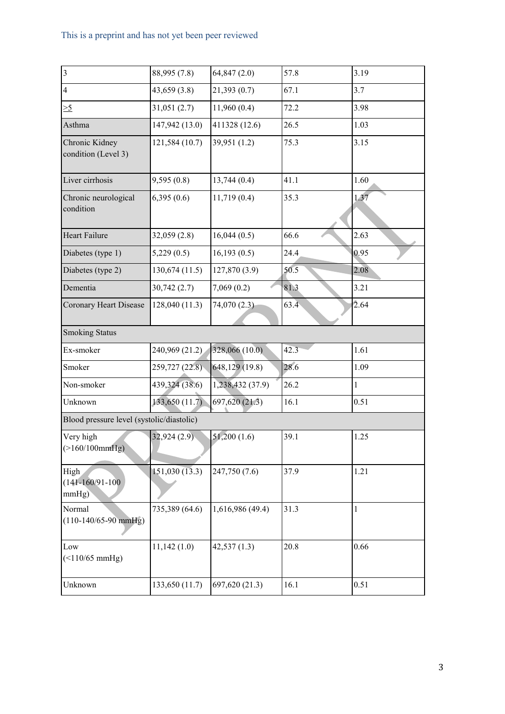# This is a preprint and has not yet been peer reviewed

| $\overline{\mathbf{3}}$                   | 88,995 (7.8)   | 64,847(2.0)      | 57.8 | 3.19 |
|-------------------------------------------|----------------|------------------|------|------|
| $\overline{4}$                            | 43,659 (3.8)   | 21,393(0.7)      | 67.1 | 3.7  |
| $\geq 5$                                  | 31,051(2.7)    | 11,960(0.4)      | 72.2 | 3.98 |
| Asthma                                    | 147,942 (13.0) | 411328 (12.6)    | 26.5 | 1.03 |
| Chronic Kidney<br>condition (Level 3)     | 121,584 (10.7) | 39,951 (1.2)     | 75.3 | 3.15 |
| Liver cirrhosis                           | 9,595(0.8)     | 13,744(0.4)      | 41.1 | 1.60 |
| Chronic neurological<br>condition         | 6,395(0.6)     | 11,719(0.4)      | 35.3 | 1.37 |
| Heart Failure                             | 32,059(2.8)    | 16,044(0.5)      | 66.6 | 2.63 |
| Diabetes (type 1)                         | 5,229(0.5)     | 16,193(0.5)      | 24.4 | 0.95 |
| Diabetes (type 2)                         | 130,674(11.5)  | 127,870 (3.9)    | 50.5 | 2.08 |
| Dementia                                  | 30,742(2.7)    | 7,069(0.2)       | 81.3 | 3.21 |
| Coronary Heart Disease                    | 128,040 (11.3) | 74,070 (2.3)     | 63.4 | 2.64 |
| <b>Smoking Status</b>                     |                |                  |      |      |
| Ex-smoker                                 | 240,969 (21.2) | 328,066 (10.0)   | 42.3 | 1.61 |
| Smoker                                    | 259,727 (22.8) | 648,129 (19.8)   | 28.6 | 1.09 |
| Non-smoker                                | 439,324 (38.6) | 1,238,432 (37.9) | 26.2 | 1    |
| Unknown                                   | 133,650 (11.7) | 697,620(21.3)    | 16.1 | 0.51 |
| Blood pressure level (systolic/diastolic) |                |                  |      |      |
| Very high<br>(>160/100mmHg)               | 32,924(2.9)    | 51,200(1.6)      | 39.1 | 1.25 |
| High<br>$(141 - 160/91 - 100)$<br>mmHg)   | 151,030(13.3)  | 247,750 (7.6)    | 37.9 | 1.21 |
| Normal<br>$(110-140/65-90$ mmHg)          | 735,389 (64.6) | 1,616,986 (49.4) | 31.3 | 1    |
| Low<br>$($ <110/65 mmHg)                  | 11,142(1.0)    | 42,537(1.3)      | 20.8 | 0.66 |
| Unknown                                   | 133,650 (11.7) | 697,620 (21.3)   | 16.1 | 0.51 |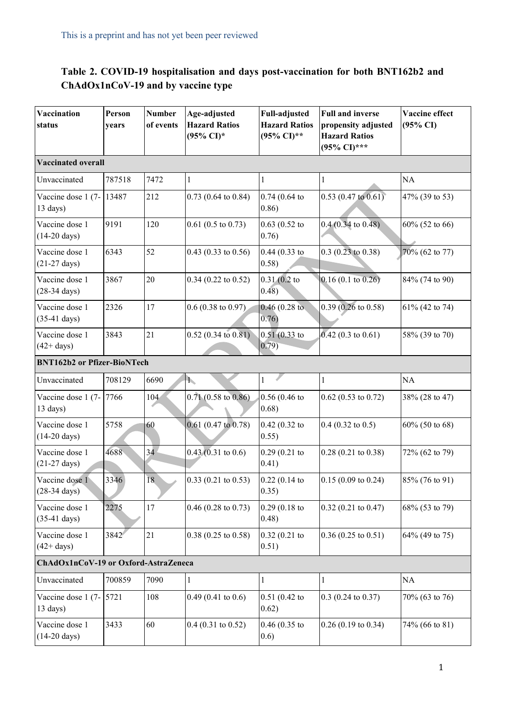## **Table 2. COVID-19 hospitalisation and days post-vaccination for both BNT162b2 and ChAdOx1nCoV-19 and by vaccine type**

| Vaccination<br>status                           | Person<br>years | <b>Number</b><br>of events | Age-adjusted<br><b>Hazard Ratios</b><br>(95% CI)* | <b>Full-adjusted</b><br><b>Hazard Ratios</b><br>(95% CI)** | <b>Full and inverse</b><br>propensity adjusted<br><b>Hazard Ratios</b><br>(95% CI)*** | Vaccine effect<br>$(95\% \text{ CI})$ |  |  |  |
|-------------------------------------------------|-----------------|----------------------------|---------------------------------------------------|------------------------------------------------------------|---------------------------------------------------------------------------------------|---------------------------------------|--|--|--|
| <b>Vaccinated overall</b>                       |                 |                            |                                                   |                                                            |                                                                                       |                                       |  |  |  |
| Unvaccinated                                    | 787518          | 7472                       | $\mathbf{1}$                                      | 1                                                          | $\mathbf{1}$                                                                          | <b>NA</b>                             |  |  |  |
| Vaccine dose 1 (7-13487)<br>$13 \text{ days}$ ) |                 | 212                        | $0.73$ (0.64 to 0.84)                             | 0.74(0.64)<br>0.86)                                        | $0.53(0.47 \text{ to } 0.61)$                                                         | 47% (39 to 53)                        |  |  |  |
| Vaccine dose 1<br>$(14-20 \text{ days})$        | 9191            | 120                        | $0.61$ (0.5 to 0.73)                              | $0.63$ $(0.52$ to<br>0.76)                                 | $0.4(0.34 \text{ to } 0.48)$                                                          | 60% (52 to 66)                        |  |  |  |
| Vaccine dose 1<br>$(21-27 \text{ days})$        | 6343            | 52                         | $0.43$ (0.33 to 0.56)                             | $0.44(0.33)$ to<br>0.58)                                   | $0.3(0.23 \text{ to } 0.38)$                                                          | 70% (62 to 77)                        |  |  |  |
| Vaccine dose 1<br>$(28-34 \text{ days})$        | 3867            | 20                         | $0.34$ (0.22 to 0.52)                             | 0.31(0.2)<br>0.48)                                         | $0.16(0.1 \text{ to } 0.26)$                                                          | 84% (74 to 90)                        |  |  |  |
| Vaccine dose 1<br>$(35-41$ days)                | 2326            | 17                         | $0.6(0.38 \text{ to } 0.97)$                      | 0.46(0.28)<br>0.76)                                        | $0.39(0.26 \text{ to } 0.58)$                                                         | 61% (42 to 74)                        |  |  |  |
| Vaccine dose 1<br>$(42 + days)$                 | 3843            | 21                         | $0.52(0.34 \text{ to } 0.81)$                     | $0.51(0.33)$ to<br>(0.79)                                  | $0.42$ (0.3 to 0.61)                                                                  | 58% (39 to 70)                        |  |  |  |
| <b>BNT162b2</b> or Pfizer-BioNTech              |                 |                            |                                                   |                                                            |                                                                                       |                                       |  |  |  |
| Unvaccinated                                    | 708129          | 6690                       | ħ,                                                | $\mathbf{1}$                                               | $\mathbf{1}$                                                                          | NA                                    |  |  |  |
| Vaccine dose 1 (7-<br>13 days)                  | 7766            | 104                        | $0.71(0.58 \text{ to } 0.86)$                     | 0.56(0.46)<br>0.68)                                        | $0.62$ (0.53 to 0.72)                                                                 | 38% (28 to 47)                        |  |  |  |
| Vaccine dose 1<br>$(14-20 \text{ days})$        | 5758            | 60                         | $0.61$ (0.47 to 0.78)                             | 0.42(0.32)<br>0.55)                                        | $0.4$ (0.32 to 0.5)                                                                   | 60% (50 to 68)                        |  |  |  |
| Vaccine dose 1<br>$(21-27 \text{ days})$        | 4688            | 34                         | $0.43(0.31 \text{ to } 0.6)$                      | 0.29(0.21)<br>0.41)                                        | $0.28$ (0.21 to 0.38)                                                                 | 72% (62 to 79)                        |  |  |  |
| Vaccine dose 1<br>$(28-34 \text{ days})$        | 3346            | 18                         | $0.33(0.21 \text{ to } 0.53)$                     | 0.22(0.14)<br>0.35)                                        | $0.15(0.09 \text{ to } 0.24)$                                                         | 85% (76 to 91)                        |  |  |  |
| Vaccine dose 1<br>$(35-41 \text{ days})$        | 2275            | 17                         | $0.46$ (0.28 to 0.73)                             | 0.29(0.18)<br>0.48)                                        | $0.32$ (0.21 to 0.47)                                                                 | 68% (53 to 79)                        |  |  |  |
| Vaccine dose 1<br>$(42 + days)$                 | 3842            | 21                         | $0.38(0.25 \text{ to } 0.58)$                     | $0.32(0.21)$ to<br>0.51)                                   | $0.36(0.25 \text{ to } 0.51)$                                                         | 64% (49 to 75)                        |  |  |  |
| ChAdOx1nCoV-19 or Oxford-AstraZeneca            |                 |                            |                                                   |                                                            |                                                                                       |                                       |  |  |  |
| Unvaccinated                                    | 700859          | 7090                       | $\mathbf{1}$                                      | 1                                                          | $\mathbf{1}$                                                                          | NA                                    |  |  |  |
| Vaccine dose 1 (7-<br>$13 \text{ days}$ )       | 5721            | 108                        | $0.49(0.41 \text{ to } 0.6)$                      | 0.51(0.42)<br>0.62)                                        | $0.3$ (0.24 to 0.37)                                                                  | 70% (63 to 76)                        |  |  |  |
| Vaccine dose 1<br>$(14-20 \text{ days})$        | 3433            | 60                         | $0.4$ (0.31 to 0.52)                              | $0.46(0.35)$ to<br>0.6)                                    | $0.26$ (0.19 to 0.34)                                                                 | 74% (66 to 81)                        |  |  |  |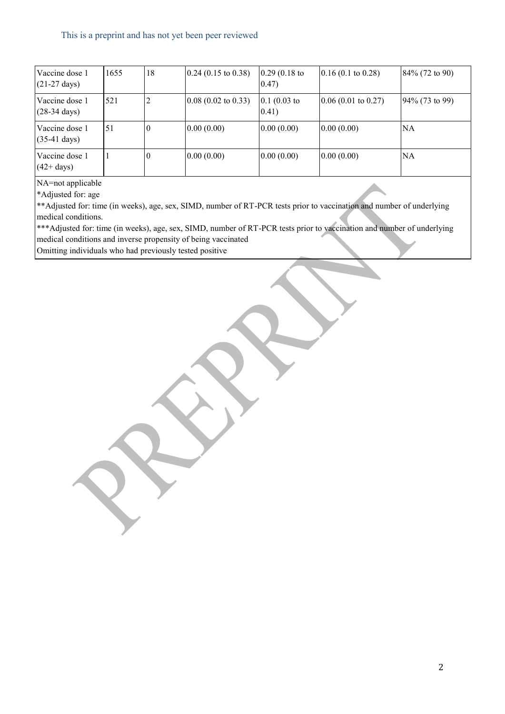| Vaccine dose 1<br>$(21-27 \text{ days})$ | 1655 | 18 | $(0.24 (0.15 \text{ to } 0.38))$ | $0.29(0.18)$ to<br>(0.47) | $0.16(0.1 \text{ to } 0.28)$    | $84\%$ (72 to 90) |
|------------------------------------------|------|----|----------------------------------|---------------------------|---------------------------------|-------------------|
| Vaccine dose 1<br>$(28-34 \text{ days})$ | 521  |    | $0.08$ (0.02 to 0.33)            | $0.1(0.03)$ to<br>(0.41)  | $(0.06(0.01 \text{ to } 0.27))$ | 94% (73 to 99)    |
| Vaccine dose 1<br>$(35-41)$ days)        | 51   |    | 0.00(0.00)                       | 0.00(0.00)                | 0.00(0.00)                      | NA                |
| Vaccine dose 1<br>$(42 + days)$          |      |    | 0.00(0.00)                       | 0.00(0.00)                | 0.00(0.00)                      | NA                |

NA=not applicable

\*Adjusted for: age

\*\*Adjusted for: time (in weeks), age, sex, SIMD, number of RT-PCR tests prior to vaccination and number of underlying medical conditions.

\*\*\*Adjusted for: time (in weeks), age, sex, SIMD, number of RT-PCR tests prior to vaccination and number of underlying medical conditions and inverse propensity of being vaccinated

Omitting individuals who had previously tested positive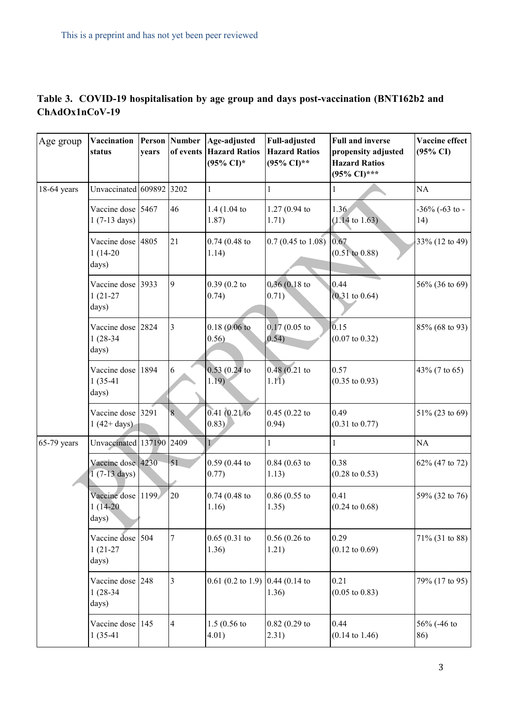|                |  | Table 3. COVID-19 hospitalisation by age group and days post-vaccination (BNT162b2 and |  |
|----------------|--|----------------------------------------------------------------------------------------|--|
| ChAdOx1nCoV-19 |  |                                                                                        |  |

| Age group   | Vaccination<br>status                       | years | <b>Person</b> Number<br>of events | Age-adjusted<br><b>Hazard Ratios</b><br>$(95\% \text{ CI})^*$ | <b>Full-adjusted</b><br><b>Hazard Ratios</b><br>(95% CI)** | <b>Full and inverse</b><br>propensity adjusted<br><b>Hazard Ratios</b><br>(95% CI)*** | Vaccine effect<br>$(95\% \text{ CI})$ |
|-------------|---------------------------------------------|-------|-----------------------------------|---------------------------------------------------------------|------------------------------------------------------------|---------------------------------------------------------------------------------------|---------------------------------------|
| 18-64 years | Unvaccinated 609892 3202                    |       |                                   | 1                                                             | 1                                                          |                                                                                       | NA                                    |
|             | Vaccine dose 5467<br>$1(7-13 \text{ days})$ |       | 46                                | 1.4 $(1.04)$<br>1.87)                                         | $1.27(0.94)$ to<br>1.71)                                   | 1.36<br>$(1.14 \text{ to } 1.63)$                                                     | $-36\%$ (-63 to -<br>14)              |
|             | Vaccine dose 4805<br>$1(14-20)$<br>days)    |       | 21                                | 0.74(0.48)<br>1.14)                                           | $0.7(0.45 \text{ to } 1.08)$                               | 0.67<br>$(0.51 \text{ to } 0.88)$                                                     | 33% (12 to 49)                        |
|             | Vaccine dose 3933<br>$1(21-27)$<br>days)    |       | 9                                 | 0.39(0.2)<br>0.74)                                            | 0.36(0.18)<br>0.71)                                        | 0.44<br>$(0.31 \text{ to } 0.64)$                                                     | 56% (36 to 69)                        |
|             | Vaccine dose<br>$1(28-34)$<br>days)         | 2824  | 3                                 | 0.18(0.06)<br>0.56)                                           | $0.17(0.05)$ to<br>0.54)                                   | 0.15<br>$(0.07 \text{ to } 0.32)$                                                     | 85% (68 to 93)                        |
|             | Vaccine dose<br>$1(35-41)$<br>days)         | 1894  | 6                                 | $0.53(0.24)$ to<br>1.19)                                      | 0.48(0.21)<br>1.11)                                        | 0.57<br>$(0.35 \text{ to } 0.93)$                                                     | 43% (7 to 65)                         |
|             | Vaccine dose 3291<br>$1(42 + days)$         |       | 8                                 | $0.41(0.21)$ to<br>0.83)                                      | $0.45(0.22)$ to<br>0.94)                                   | 0.49<br>$(0.31 \text{ to } 0.77)$                                                     | $51\%$ (23 to 69)                     |
| 65-79 years | Unvaccinated 137190 2409                    |       |                                   | $\mathbf{L}$                                                  | $\mathbf{1}$                                               | $\mathbf{1}$                                                                          | NA                                    |
|             | Vaccine dose 4230<br>$1(7-13 \text{ days})$ |       | 51                                | $0.59(0.44)$ to<br>0.77)                                      | $0.84(0.63)$ to<br>1.13)                                   | 0.38<br>$(0.28 \text{ to } 0.53)$                                                     | 62% (47 to 72)                        |
|             | Vaccine dose<br>$1(14-20)$<br>days)         | 1199  | 20                                | 0.74(0.48)<br>1.16)                                           | $0.86(0.55)$ to<br>1.35)                                   | 0.41<br>$(0.24 \text{ to } 0.68)$                                                     | 59% (32 to 76)                        |
|             | Vaccine dose<br>$1(21-27)$<br>days)         | 504   | $\overline{7}$                    | 0.65(0.31)<br>1.36)                                           | 0.56(0.26)<br>1.21)                                        | 0.29<br>$(0.12 \text{ to } 0.69)$                                                     | 71% (31 to 88)                        |
|             | Vaccine dose<br>$1(28-34)$<br>days)         | 248   | 3                                 | 0.61 (0.2 to 1.9) $\vert$ 0.44 (0.14 to                       | 1.36)                                                      | 0.21<br>$(0.05 \text{ to } 0.83)$                                                     | 79% (17 to 95)                        |
|             | Vaccine dose<br>$1(35-41)$                  | 145   | 4                                 | $1.5(0.56)$ to<br>4.01)                                       | $0.82(0.29)$ to<br>2.31)                                   | 0.44<br>$(0.14 \text{ to } 1.46)$                                                     | 56% (-46 to<br>86)                    |